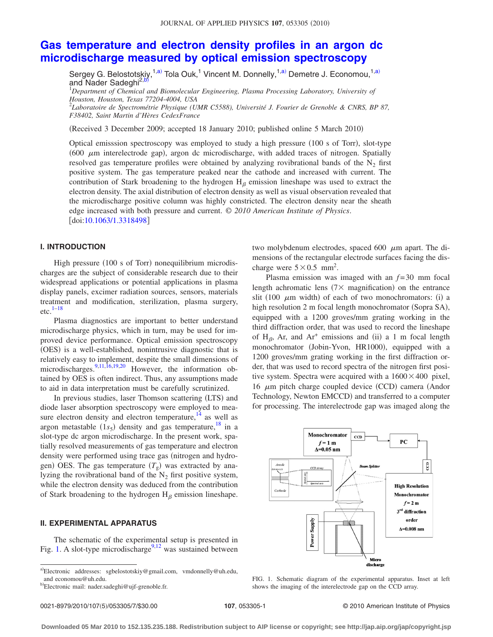# **[Gas temperature and electron density profiles in an argon dc](http://dx.doi.org/10.1063/1.3318498) [microdischarge measured by optical emission spectroscopy](http://dx.doi.org/10.1063/1.3318498)**

Sergey G. Belostotskiy,<sup>1,a)</sup> Tola Ouk,<sup>1</sup> Vincent M. Donnelly,<sup>1,a)</sup> Demetre J. Economou,<sup>1,a)</sup> and Nader Sadeghi<sup>2,</sup>

1 *Department of Chemical and Biomolecular Engineering, Plasma Processing Laboratory, University of Houston, Houston, Texas 77204-4004, USA*

2 *Laboratoire de Spectrométrie Physique (UMR C5588), Université J. Fourier de Grenoble & CNRS, BP 87, F38402, Saint Martin d'Hères CedexFrance*

(Received 3 December 2009; accepted 18 January 2010; published online 5 March 2010)

Optical emisssion spectroscopy was employed to study a high pressure (100 s of Torr), slot-type (600  $\mu$ m interelectrode gap), argon dc microdischarge, with added traces of nitrogen. Spatially resolved gas temperature profiles were obtained by analyzing rovibrational bands of the  $N_2$  first positive system. The gas temperature peaked near the cathode and increased with current. The contribution of Stark broadening to the hydrogen  $H_\beta$  emission lineshape was used to extract the electron density. The axial distribution of electron density as well as visual observation revealed that the microdischarge positive column was highly constricted. The electron density near the sheath edge increased with both pressure and current. © *2010 American Institute of Physics*. [doi[:10.1063/1.3318498](http://dx.doi.org/10.1063/1.3318498)]

# **I. INTRODUCTION**

High pressure (100 s of Torr) nonequilibrium microdischarges are the subject of considerable research due to their widespread applications or potential applications in plasma display panels, excimer radiation sources, sensors, materials treatment and modification, sterilization, plasma surgery, etc. $1-18$  $1-18$ 

Plasma diagnostics are important to better understand microdischarge physics, which in turn, may be used for improved device performance. Optical emission spectroscopy (OES) is a well-established, nonintrusive diagnostic that is relatively easy to implement, despite the small dimensions of microdischarges[.9](#page-5-1)[,11](#page-5-2)[,16](#page-5-3)[,19](#page-6-1)[,20](#page-6-2) However, the information obtained by OES is often indirect. Thus, any assumptions made to aid in data interpretation must be carefully scrutinized.

In previous studies, laser Thomson scattering (LTS) and diode laser absorption spectroscopy were employed to measure electron density and electron temperature,  $14$  as well as argon metastable  $(1s<sub>5</sub>)$  density and gas temperature,<sup>18</sup> in a slot-type dc argon microdischarge. In the present work, spatially resolved measurements of gas temperature and electron density were performed using trace gas (nitrogen and hydrogen) OES. The gas temperature  $(T_g)$  was extracted by analyzing the rovibrational band of the  $N_2$  first positive system, while the electron density was deduced from the contribution of Stark broadening to the hydrogen  $H_\beta$  emission lineshape.

## **II. EXPERIMENTAL APPARATUS**

The schematic of the experimental setup is presented in Fig. [1.](#page-0-0) A slot-type microdischarge<sup>9,[12](#page-5-5)</sup> was sustained between two molybdenum electrodes, spaced 600  $\mu$ m apart. The dimensions of the rectangular electrode surfaces facing the discharge were  $5 \times 0.5$  mm<sup>2</sup>.

Plasma emission was imaged with an *f* = 30 mm focal length achromatic lens  $(7 \times$  magnification) on the entrance slit (100  $\mu$ m width) of each of two monochromators: (i) a high resolution 2 m focal length monochromator (Sopra SA), equipped with a 1200 groves/mm grating working in the third diffraction order, that was used to record the lineshape of H<sub> $\beta$ </sub>, Ar, and Ar<sup>+</sup> emissions and (ii) a 1 m focal length monochromator (Jobin-Yvon, HR1000), equipped with a 1200 groves/mm grating working in the first diffraction order, that was used to record spectra of the nitrogen first positive system. Spectra were acquired with a  $1600 \times 400$  pixel, 16  $\mu$ m pitch charge coupled device (CCD) camera (Andor Technology, Newton EMCCD) and transferred to a computer for processing. The interelectrode gap was imaged along the

<span id="page-0-0"></span>

FIG. 1. Schematic diagram of the experimental apparatus. Inset at left shows the imaging of the interelectrode gap on the CCD array.

a)Electronic addresses: sgbelostotskiy@gmail.com, vmdonnelly@uh.edu, and economou@uh.edu.

<sup>&</sup>lt;sup>b)</sup>Electronic mail: nader.sadeghi@ujf-grenoble.fr.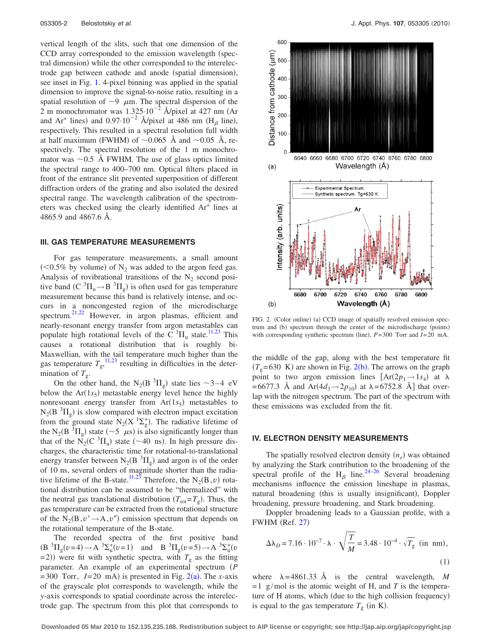vertical length of the slits, such that one dimension of the CCD array corresponded to the emission wavelength (spectral dimension) while the other corresponded to the interelectrode gap between cathode and anode (spatial dimension), see inset in Fig. [1.](#page-0-0) 4-pixel binning was applied in the spatial dimension to improve the signal-to-noise ratio, resulting in a spatial resolution of  $\sim$ 9  $\mu$ m. The spectral dispersion of the 2 m monochromator was  $1.325 \cdot 10^{-2}$  Å/pixel at 427 nm (Ar and Ar<sup>+</sup> lines) and  $0.97 \cdot 10^{-2}$  Å/pixel at 486 nm (H<sub>β</sub> line), respectively. This resulted in a spectral resolution full width at half maximum (FWHM) of  $\sim 0.065$  Å and  $\sim 0.05$  Å, respectively. The spectral resolution of the 1 m monochromator was  $\sim 0.5$  Å FWHM. The use of glass optics limited the spectral range to 400–700 nm. Optical filters placed in front of the entrance slit prevented superposition of different diffraction orders of the grating and also isolated the desired spectral range. The wavelength calibration of the spectrometers was checked using the clearly identified Ar+ lines at 4865.9 and 4867.6 Å.

#### **III. GAS TEMPERATURE MEASUREMENTS**

For gas temperature measurements, a small amount  $(< 0.5\%$  by volume) of N<sub>2</sub> was added to the argon feed gas. Analysis of rovibrational transitions of the  $N_2$  second positive band (C  ${}^{3}\Pi_{u} \rightarrow B {}^{3}\Pi_{g}$ ) is often used for gas temperature measurement because this band is relatively intense, and occurs in a noncongested region of the microdischarge spectrum.<sup>21,[22](#page-6-4)</sup> However, in argon plasmas, efficient and nearly-resonant energy transfer from argon metastables can populate high rotational levels of the C<sup>3</sup> $\Pi$ <sub>u</sub> state.<sup>11[,23](#page-6-5)</sup> This causes a rotational distribution that is roughly bi-Maxwellian, with the tail temperature much higher than the gas temperature  $T_g$ ,<sup>[11,](#page-5-2)[23](#page-6-5)</sup> resulting in difficulties in the determination of  $T_g$ .

On the other hand, the N<sub>2</sub>(B<sup>3</sup> $\Pi_g$ ) state lies ~3-4 eV below the  $Ar(1s<sub>5</sub>)$  metastable energy level hence the highly nonresonant energy transfer from  $Ar(1s<sub>5</sub>)$  metastables to  $N_2(B^3\Pi_g)$  is slow compared with electron impact excitation from the ground state  $N_2(X^{-1}\Sigma_g^+)$ . The radiative lifetime of the N<sub>2</sub>(B<sup>3</sup> $\Pi_g$ ) state (~5  $\mu$ s) is also significantly longer than that of the  $\overline{N}_2(C^3\Pi_u)$  state (~40 ns). In high pressure discharges, the characteristic time for rotational-to-translational energy transfer between  $N_2(B^3\Pi_g)$  and argon is of the order of 10 ns, several orders of magnitude shorter than the radia-tive lifetime of the B-state.<sup>11[,23](#page-6-5)</sup> Therefore, the  $N_2(B, v)$  rotational distribution can be assumed to be "thermalized" with the neutral gas translational distribution  $(T_{\text{rot}} = T_g)$ . Thus, the gas temperature can be extracted from the rotational structure of the  $N_2(B, v' \rightarrow A, v'')$  emission spectrum that depends on the rotational temperature of the B-state.

The recorded spectra of the first positive band  $(B^{3}\Pi_{g}(v=4) \rightarrow A^{3}\Sigma_{u}^{+}(v=1)$  and  $B^{3}\Pi_{g}(v=5) \rightarrow A^{3}\Sigma_{u}^{+}(v=1)$  $=$  2)) were fit with synthetic spectra, with  $T_g$  as the fitting parameter. An example of an experimental spectrum (P  $= 300$  Torr,  $I = 20$  $I = 20$  $I = 20$  mA) is presented in Fig. 2(a). The *x*-axis of the grayscale plot corresponds to wavelength, while the *y*-axis corresponds to spatial coordinate across the interelectrode gap. The spectrum from this plot that corresponds to

<span id="page-1-0"></span>

FIG. 2. (Color online) (a) CCD image of spatially resolved emission spectrum and (b) spectrum through the center of the microdischarge (points) with corresponding synthetic spectrum (line),  $P = 300$  Torr and  $I = 20$  mA.

the middle of the gap, along with the best temperature fit  $(T<sub>g</sub>=630$  K) are shown in Fig. [2](#page-1-0)(b). The arrows on the graph point to two argon emission lines  $[\text{Ar}(2p_1 \rightarrow 1s_4)]$  at  $\lambda$  $= 6677.3$  Å and Ar $(4d_3 \rightarrow 2p_{10})$  at  $\lambda = 6752.8$  Å] that overlap with the nitrogen spectrum. The part of the spectrum with these emissions was excluded from the fit.

### **IV. ELECTRON DENSITY MEASUREMENTS**

The spatially resolved electron density  $(n_e)$  was obtained by analyzing the Stark contribution to the broadening of the spectral profile of the H<sub> $\beta$ </sub> line.<sup>24[–26](#page-6-7)</sup> Several broadening mechanisms influence the emission lineshape in plasmas, natural broadening (this is usually insignificant), Doppler broadening, pressure broadening, and Stark broadening.

Doppler broadening leads to a Gaussian profile, with a FWHM (Ref. [27](#page-6-8))

<span id="page-1-1"></span>
$$
\Delta\lambda_D = 7.16 \cdot 10^{-7} \cdot \lambda \cdot \sqrt{\frac{T}{M}} = 3.48 \cdot 10^{-4} \cdot \sqrt{T_g} \text{ (in nm)},
$$
\n(1)

where  $\lambda = 4861.33$  Å is the central wavelength, *M*  $=1$  g/mol is the atomic weight of H, and *T* is the temperature of H atoms, which (due to the high collision frequency) is equal to the gas temperature  $T<sub>g</sub>$  (in K).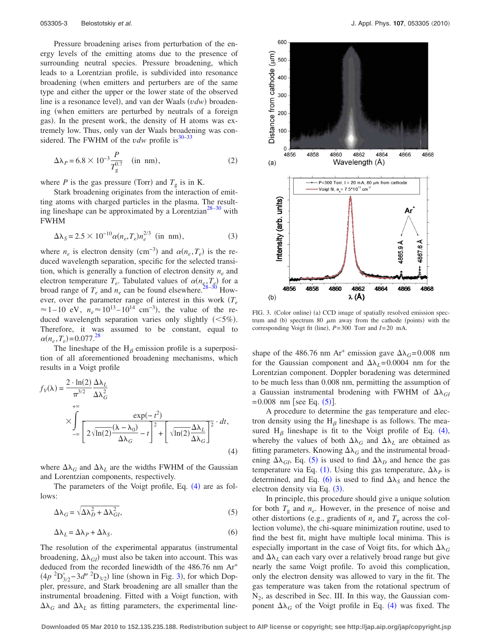Pressure broadening arises from perturbation of the energy levels of the emitting atoms due to the presence of surrounding neutral species. Pressure broadening, which leads to a Lorentzian profile, is subdivided into resonance broadening when emitters and perturbers are of the same type and either the upper or the lower state of the observed line is a resonance level), and van der Waals (vdw) broadening (when emitters are perturbed by neutrals of a foreign gas). In the present work, the density of H atoms was extremely low. Thus, only van der Waals broadening was considered. The FWHM of the  $vdw$  profile is<sup>30[–33](#page-6-10)</sup>

$$
\Delta\lambda_P = 6.8 \times 10^{-3} \frac{P}{T_g^{0.7}} \quad \text{(in nm)}, \tag{2}
$$

where *P* is the gas pressure (Torr) and  $T_g$  is in K.

Stark broadening originates from the interaction of emitting atoms with charged particles in the plasma. The result-ing lineshape can be approximated by a Lorentzian<sup>28[–30](#page-6-9)</sup> with FWHM

<span id="page-2-4"></span>
$$
\Delta\lambda_S = 2.5 \times 10^{-10} \alpha (n_e, T_e) n_e^{2/3} \text{ (in nm)},\tag{3}
$$

where  $n_e$  is electron density (cm<sup>-3</sup>) and  $\alpha(n_e, T_e)$  is the reduced wavelength separation, specific for the selected transition, which is generally a function of electron density  $n_e$  and electron temperature  $T_e$ . Tabulated values of  $\alpha(n_e, T_e)$  for a broad range of  $T_e$  and  $n_e$  can be found elsewhere.<sup>28–[30](#page-6-9)</sup> However, over the parameter range of interest in this work  $(T_e$  $\approx$  1–10 eV,  $n_e \approx 10^{13}$ –10<sup>14</sup> cm<sup>-3</sup>), the value of the reduced wavelength separation varies only slightly  $(<5\%)$ . Therefore, it was assumed to be constant, equal to  $\alpha(n_e, T_e) = 0.077$ .<sup>28</sup>

The lineshape of the  $H_\beta$  emission profile is a superposition of all aforementioned broadening mechanisms, which results in a Voigt profile

<span id="page-2-0"></span>
$$
f_V(\lambda) = \frac{2 \cdot \ln(2)}{\pi^{3/2}} \frac{\Delta \lambda_L}{\Delta \lambda_G^2}
$$
  
 
$$
\times \int_{-\infty}^{+\infty} \frac{\exp(-t^2)}{\left[2\sqrt{\ln(2)} \frac{(\lambda - \lambda_0)}{\Delta \lambda_G} - t\right]^2 + \left[\sqrt{\ln(2)} \frac{\Delta \lambda_L}{\Delta \lambda_G}\right]^2} \cdot dt,
$$
  
(4)

where  $\Delta\lambda_G$  and  $\Delta\lambda_L$  are the widths FWHM of the Gaussian and Lorentzian components, respectively.

The parameters of the Voigt profile, Eq.  $(4)$  $(4)$  $(4)$  are as follows:

<span id="page-2-2"></span>
$$
\Delta\lambda_G = \sqrt{\Delta\lambda_D^2 + \Delta\lambda_{GI}^2},\tag{5}
$$

<span id="page-2-3"></span>
$$
\Delta\lambda_L = \Delta\lambda_P + \Delta\lambda_S. \tag{6}
$$

The resolution of the experimental apparatus (instrumental broadening,  $\Delta \lambda_{GI}$ ) must also be taken into account. This was deduced from the recorded linewidth of the 486.76 nm Ar+  $(4p^{2}D_{3/2}^{\circ}-3d''^{2}D_{3/2})$  $(4p^{2}D_{3/2}^{\circ}-3d''^{2}D_{3/2})$  $(4p^{2}D_{3/2}^{\circ}-3d''^{2}D_{3/2})$  line (shown in Fig. 3), for which Doppler, pressure, and Stark broadening are all smaller than the instrumental broadening. Fitted with a Voigt function, with  $\Delta\lambda_G$  and  $\Delta\lambda_L$  as fitting parameters, the experimental line-

<span id="page-2-1"></span>

FIG. 3. (Color online) (a) CCD image of spatially resolved emission spectrum and (b) spectrum 80  $\mu$ m away from the cathode (points) with the corresponding Voigt fit (line),  $P = 300$  Torr and  $I = 20$  mA.

shape of the 486.76 nm Ar<sup>+</sup> emission gave  $\Delta\lambda_G$ =0.008 nm for the Gaussian component and  $\Delta\lambda_L$ = 0.0004 nm for the Lorentzian component. Doppler boradening was determined to be much less than 0.008 nm, permitting the assumption of a Gaussian instrumental brodening with FWHM of  $\Delta\lambda_{GI}$  $= 0.008$  nm [see Eq.  $(5)$  $(5)$  $(5)$ ].

A procedure to determine the gas temperature and electron density using the  $H_\beta$  lineshape is as follows. The measured  $H_\beta$  lineshape is fit to the Voigt profile of Eq. ([4](#page-2-0)), whereby the values of both  $\Delta\lambda_G$  and  $\Delta\lambda_L$  are obtained as fitting parameters. Knowing  $\Delta\lambda_G$  and the instrumental broadening  $\Delta\lambda_{GI}$ , Eq. ([5](#page-2-2)) is used to find  $\Delta\lambda_D$  and hence the gas temperature via Eq. ([1](#page-1-1)). Using this gas temperature,  $\Delta\lambda_p$  is determined, and Eq. ([6](#page-2-3)) is used to find  $\Delta\lambda_S$  and hence the electron density via Eq.  $(3)$  $(3)$  $(3)$ .

In principle, this procedure should give a unique solution for both  $T_g$  and  $n_e$ . However, in the presence of noise and other distortions (e.g., gradients of  $n_e$  and  $T_g$  across the collection volume), the chi-square minimization routine, used to find the best fit, might have multiple local minima. This is especially important in the case of Voigt fits, for which  $\Delta\lambda_G$ and  $\Delta\lambda_L$  can each vary over a relatively broad range but give nearly the same Voigt profile. To avoid this complication, only the electron density was allowed to vary in the fit. The gas temperature was taken from the rotational spectrum of  $N<sub>2</sub>$ , as described in Sec. III. In this way, the Gaussian component  $\Delta\lambda_G$  of the Voigt profile in Eq. ([4](#page-2-0)) was fixed. The

**Downloaded 05 Mar 2010 to 152.135.235.188. Redistribution subject to AIP license or copyright; see http://jap.aip.org/jap/copyright.jsp**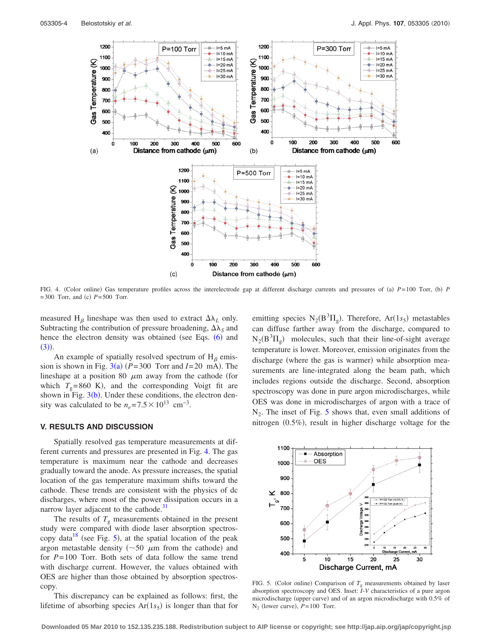<span id="page-3-0"></span>

FIG. 4. (Color online) Gas temperature profiles across the interelectrode gap at different discharge currents and pressures of (a)  $P=100$  Torr, (b) P  $= 300$  Torr, and (c)  $P = 500$  Torr.

measured H<sub> $\beta$ </sub> lineshape was then used to extract  $\Delta\lambda_L$  only. Subtracting the contribution of pressure broadening,  $\Delta\lambda_s$  and hence the electron density was obtained (see Eqs. ([6](#page-2-3)) and  $(3)$  $(3)$  $(3)$ ).

An example of spatially resolved spectrum of  $H_\beta$  emission is shown in Fig.  $3(a)$  $3(a)$  ( $P = 300$  Torr and  $I = 20$  mA). The lineshape at a position 80  $\mu$ m away from the cathode (for which  $T_g$ =860 K), and the corresponding Voigt fit are shown in Fig.  $3(b)$  $3(b)$ . Under these conditions, the electron density was calculated to be  $n_e = 7.5 \times 10^{13}$  cm<sup>-3</sup>.

## **V. RESULTS AND DISCUSSION**

Spatially resolved gas temperature measurements at different currents and pressures are presented in Fig. [4.](#page-3-0) The gas temperature is maximum near the cathode and decreases gradually toward the anode. As pressure increases, the spatial location of the gas temperature maximum shifts toward the cathode. These trends are consistent with the physics of dc discharges, where most of the power dissipation occurs in a narrow layer adjacent to the cathode.<sup>31</sup>

The results of  $T_g$  measurements obtained in the present study were compared with diode laser absorption spectros-copy data<sup>18</sup> (see Fig. [5](#page-3-1)), at the spatial location of the peak argon metastable density ( $\sim$  50  $\mu$ m from the cathode) and for *P*= 100 Torr. Both sets of data follow the same trend with discharge current. However, the values obtained with OES are higher than those obtained by absorption spectroscopy.

This discrepancy can be explained as follows: first, the lifetime of absorbing species  $Ar(1s<sub>5</sub>)$  is longer than that for

emitting species  $N_2(B^3\Pi_g)$ . Therefore,  $Ar(1s_5)$  metastables can diffuse farther away from the discharge, compared to  $N_2(B^3\Pi_g)$  molecules, such that their line-of-sight average temperature is lower. Moreover, emission originates from the discharge (where the gas is warmer) while absorption measurements are line-integrated along the beam path, which includes regions outside the discharge. Second, absorption spectroscopy was done in pure argon microdischarges, while OES was done in microdischarges of argon with a trace of  $N_2$ . The inset of Fig. [5](#page-3-1) shows that, even small additions of nitrogen (0.5%), result in higher discharge voltage for the

<span id="page-3-1"></span>

FIG. 5. (Color online) Comparison of  $T_g$  measurements obtained by laser absorption spectroscopy and OES. Inset: *I*-*V* characteristics of a pure argon microdischarge (upper curve) and of an argon microdischarge with 0.5% of  $N_2$  (lower curve),  $P = 100$  Torr.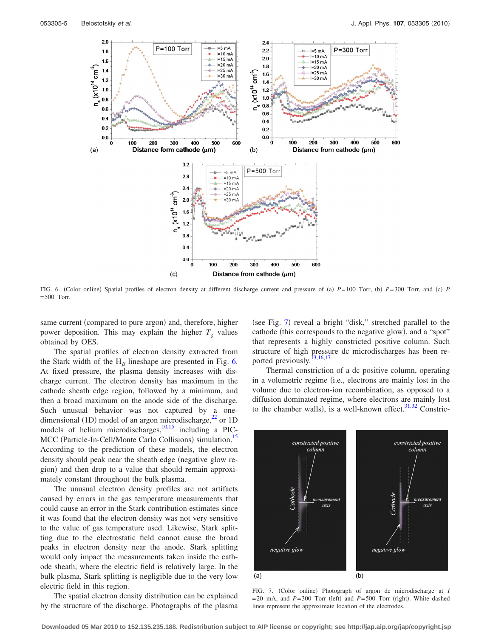<span id="page-4-0"></span>

FIG. 6. (Color online) Spatial profiles of electron density at different discharge current and pressure of (a)  $P=100$  Torr, (b)  $P=300$  Torr, and (c) P  $= 500$  Torr.

same current (compared to pure argon) and, therefore, higher power deposition. This may explain the higher  $T_g$  values obtained by OES.

The spatial profiles of electron density extracted from the Stark width of the  $H_\beta$  lineshape are presented in Fig. [6.](#page-4-0) At fixed pressure, the plasma density increases with discharge current. The electron density has maximum in the cathode sheath edge region, followed by a minimum, and then a broad maximum on the anode side of the discharge. Such unusual behavior was not captured by a onedimensional (1D) model of an argon microdischarge, $^{22}$  or 1D models of helium microdischarges, $10,15$  $10,15$  including a PIC-MCC (Particle-In-Cell/Monte Carlo Collisions) simulation.<sup>15</sup> According to the prediction of these models, the electron density should peak near the sheath edge (negative glow region) and then drop to a value that should remain approximately constant throughout the bulk plasma.

The unusual electron density profiles are not artifacts caused by errors in the gas temperature measurements that could cause an error in the Stark contribution estimates since it was found that the electron density was not very sensitive to the value of gas temperature used. Likewise, Stark splitting due to the electrostatic field cannot cause the broad peaks in electron density near the anode. Stark splitting would only impact the measurements taken inside the cathode sheath, where the electric field is relatively large. In the bulk plasma, Stark splitting is negligible due to the very low electric field in this region.

The spatial electron density distribution can be explained by the structure of the discharge. Photographs of the plasma

(see Fig. [7](#page-4-1)) reveal a bright "disk," stretched parallel to the cathode (this corresponds to the negative glow), and a "spot" that represents a highly constricted positive column. Such structure of high pressure dc microdischarges has been re-ported previously.<sup>13[,16,](#page-5-3)[17](#page-6-13)</sup>

Thermal constriction of a dc positive column, operating in a volumetric regime (i.e., electrons are mainly lost in the volume due to electron-ion recombination, as opposed to a diffusion dominated regime, where electrons are mainly lost to the chamber walls), is a well-known effect.  $31,32$  $31,32$  Constric-

<span id="page-4-1"></span>

FIG. 7. (Color online) Photograph of argon dc microdischarge at *I*  $= 20$  mA, and  $P = 300$  Torr (left) and  $P = 500$  Torr (right). White dashed lines represent the approximate location of the electrodes.

**Downloaded 05 Mar 2010 to 152.135.235.188. Redistribution subject to AIP license or copyright; see http://jap.aip.org/jap/copyright.jsp**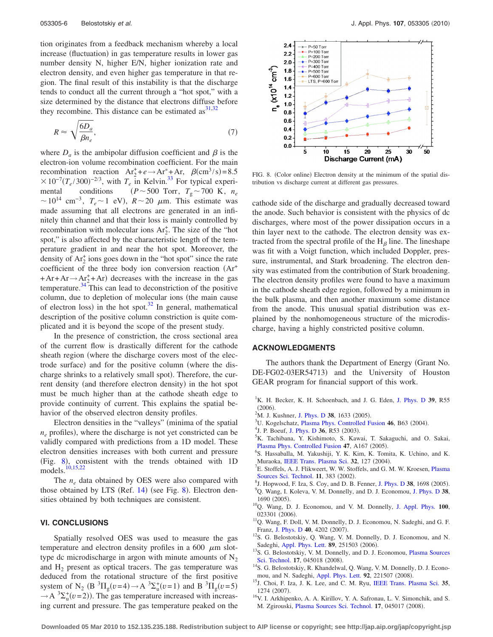tion originates from a feedback mechanism whereby a local increase (fluctuation) in gas temperature results in lower gas number density N, higher E/N, higher ionization rate and electron density, and even higher gas temperature in that region. The final result of this instability is that the discharge tends to conduct all the current through a "hot spot," with a size determined by the distance that electrons diffuse before they recombine. This distance can be estimated as  $31,32$  $31,32$ 

$$
R \approx \sqrt{\frac{6D_a}{\beta n_e}},\tag{7}
$$

where  $D_a$  is the ambipolar diffusion coefficient and  $\beta$  is the electron-ion volume recombination coefficient. For the main recombination reaction  $Ar_2^+ + e \rightarrow Ar_{33}^+ + Ar$ ,  $\beta$ (cm<sup>3</sup>/s)=8.5  $\times 10^{-7} (T_e/300)^{-2/3}$ , with  $T_e$  in Kelvin.<sup>33</sup> For typical experimental conditions  $(P \sim 500 \text{ Torr}, T_{g} \sim 700 \text{ K}, n_e$  $\sim 10^{14}$  cm<sup>-3</sup>,  $T_e \sim 1$  eV),  $R \sim 20$   $\mu$ m. This estimate was made assuming that all electrons are generated in an infinitely thin channel and that their loss is mainly controlled by recombination with molecular ions  $Ar_2^+$ . The size of the "hot spot," is also affected by the characteristic length of the temperature gradient in and near the hot spot. Moreover, the density of  $Ar_2^+$  ions goes down in the "hot spot" since the rate coefficient of the three body ion conversion reaction  $(Ar^+)$  $+Ar+Ar \rightarrow Ar_2^+ +Ar$  decreases with the increase in the gas temperature. $34$  This can lead to deconstriction of the positive column, due to depletion of molecular ions (the main cause of electron loss) in the hot spot.<sup>32</sup> In general, mathematical description of the positive column constriction is quite complicated and it is beyond the scope of the present study.

In the presence of constriction, the cross sectional area of the current flow is drastically different for the cathode sheath region (where the discharge covers most of the electrode surface) and for the positive column (where the discharge shrinks to a relatively small spot). Therefore, the current density (and therefore electron density) in the hot spot must be much higher than at the cathode sheath edge to provide continuity of current. This explains the spatial behavior of the observed electron density profiles.

Electron densities in the "valleys" (minima of the spatial  $n_e$  profiles), where the discharge is not yet constricted can be validly compared with predictions from a 1D model. These electron densities increases with both current and pressure (Fig. [8](#page-5-9)), consistent with the trends obtained with 1D models[.10](#page-5-6)[,15,](#page-5-7)[22](#page-6-4)

The *ne* data obtained by OES were also compared with those obtained by LTS (Ref. [14](#page-5-4)) (see Fig. [8](#page-5-9)). Electron densities obtained by both techniques are consistent.

# **VI. CONCLUSIONS**

Spatially resolved OES was used to measure the gas temperature and electron density profiles in a 600  $\mu$ m slottype dc microdischarge in argon with minute amounts of  $N_2$ and  $H<sub>2</sub>$  present as optical tracers. The gas temperature was deduced from the rotational structure of the first positive system of N<sub>2</sub> (B<sup>3</sup> $\Pi_g(v=4) \rightarrow A^{3}\Sigma_g^{+}(v=1)$  and B<sup>3</sup> $\Pi_g(v=5)$  $\rightarrow$  A  ${}^{3}\Sigma_{u}^{+}(v=2)$ ). The gas temperature increased with increasing current and pressure. The gas temperature peaked on the

<span id="page-5-9"></span>

FIG. 8. (Color online) Electron density at the minimum of the spatial distribution vs discharge current at different gas pressures.

cathode side of the discharge and gradually decreased toward the anode. Such behavior is consistent with the physics of dc discharges, where most of the power dissipation occurs in a thin layer next to the cathode. The electron density was extracted from the spectral profile of the  $H_\beta$  line. The lineshape was fit with a Voigt function, which included Doppler, pressure, instrumental, and Stark broadening. The electron density was estimated from the contribution of Stark broadening. The electron density profiles were found to have a maximum in the cathode sheath edge region, followed by a minimum in the bulk plasma, and then another maximum some distance from the anode. This unusual spatial distribution was explained by the nonhomogeneous structure of the microdischarge, having a highly constricted positive column.

#### **ACKNOWLEDGMENTS**

The authors thank the Department of Energy Grant No. DE-FG02-03ER54713) and the University of Houston GEAR program for financial support of this work.

- <span id="page-5-0"></span><sup>1</sup>K. H. Becker, K. H. Schoenbach, and J. G. Eden, [J. Phys. D](http://dx.doi.org/10.1088/0022-3727/39/3/R01) 39, R55  $(2006).$ (2006).<br><sup>2</sup>M. J. Kushner, [J. Phys. D](http://dx.doi.org/10.1088/0022-3727/38/11/001) **38**, 1633 (2005).<br><sup>3</sup>U. Koselsebatz, Pleame Phys. Controlled E
- 
- <sup>3</sup>U. Kogelschatz, [Plasma Phys. Controlled Fusion](http://dx.doi.org/10.1088/0741-3335/46/12B/006) 46, B63 (2004).
- <sup>4</sup>J. P. Boeuf, [J. Phys. D](http://dx.doi.org/10.1088/0022-3727/36/6/201) **36**, R53 (2003).
- <sup>5</sup>K. Tachibana, Y. Kishimoto, S. Kawai, T. Sakaguchi, and O. Sakai, [Plasma Phys. Controlled Fusion](http://dx.doi.org/10.1088/0741-3335/47/5A/012) 47, A167 (2005).
- S. Hassaballa, M. Yakushiji, Y. K. Kim, K. Tomita, K. Uchino, and K. Muraoka, [IEEE Trans. Plasma Sci.](http://dx.doi.org/10.1109/TPS.2004.823980) **32**, 127 (2004).
- ${}^{7}E$ . Stoffels, A. J. Flikweert, W. W. Stoffels, and G. M. W. Kroesen, [Plasma](http://dx.doi.org/10.1088/0963-0252/11/4/304) [Sources Sci. Technol.](http://dx.doi.org/10.1088/0963-0252/11/4/304) **11**, 383  $(2002)$ .<br><sup>8</sup>L Hopwood E Ise S Cov and D B
- $\frac{1}{2}$ . Hopwood, F. Iza, S. Coy, and D. B. Fenner, [J. Phys. D](http://dx.doi.org/10.1088/0022-3727/38/11/009) **38**, 1698 (2005).
- <span id="page-5-1"></span>Q. Wang, I. Koleva, V. M. Donnelly, and D. J. Economou, [J. Phys. D](http://dx.doi.org/10.1088/0022-3727/38/11/008) **38**, 1690 (2005).
- <span id="page-5-6"></span>. 10Q. Wang, D. J. Economou, and V. M. Donnelly, [J. Appl. Phys.](http://dx.doi.org/10.1063/1.2214591) **<sup>100</sup>**, 023301 (2006).
- <span id="page-5-2"></span><sup>11</sup>Q. Wang, F. Doll, V. M. Donnelly, D. J. Economou, N. Sadeghi, and G. F. Franz, [J. Phys. D](http://dx.doi.org/10.1088/0022-3727/40/14/015) 40, 4202 (2007).
- <span id="page-5-5"></span><sup>12</sup>S. G. Belostotskiy, Q. Wang, V. M. Donnelly, D. J. Economou, and N. Sadeghi, [Appl. Phys. Lett.](http://dx.doi.org/10.1063/1.2404594) **89**, 251503 (2006).
- <span id="page-5-8"></span><sup>13</sup>S. G. Belostotskiy, V. M. Donnelly, and D. J. Economou, [Plasma Sources](http://dx.doi.org/10.1088/0963-0252/17/4/045018) [Sci. Technol.](http://dx.doi.org/10.1088/0963-0252/17/4/045018) 17, 045018 (2008).
- <span id="page-5-4"></span><sup>14</sup>S. G. Belostotskiy, R. Khandelwal, Q. Wang, V. M. Donnelly, D. J. Econo-mou, and N. Sadeghi, [Appl. Phys. Lett.](http://dx.doi.org/10.1063/1.2939437) 92, 221507 (2008).
- <span id="page-5-7"></span>. 15J. Choi, F. Iza, J. K. Lee, and C. M. Ryu, [IEEE Trans. Plasma Sci.](http://dx.doi.org/10.1109/TPS.2007.904827) **<sup>35</sup>**, 1274 (2007).
- <span id="page-5-3"></span><sup>16</sup>V. I. Arkhipenko, A. A. Kirillov, Y. A. Safronau, L. V. Simonchik, and S. M. Zgirouski, *[Plasma Sources Sci. Technol.](http://dx.doi.org/10.1088/0963-0252/17/4/045017)* 17, 045017 (2008).